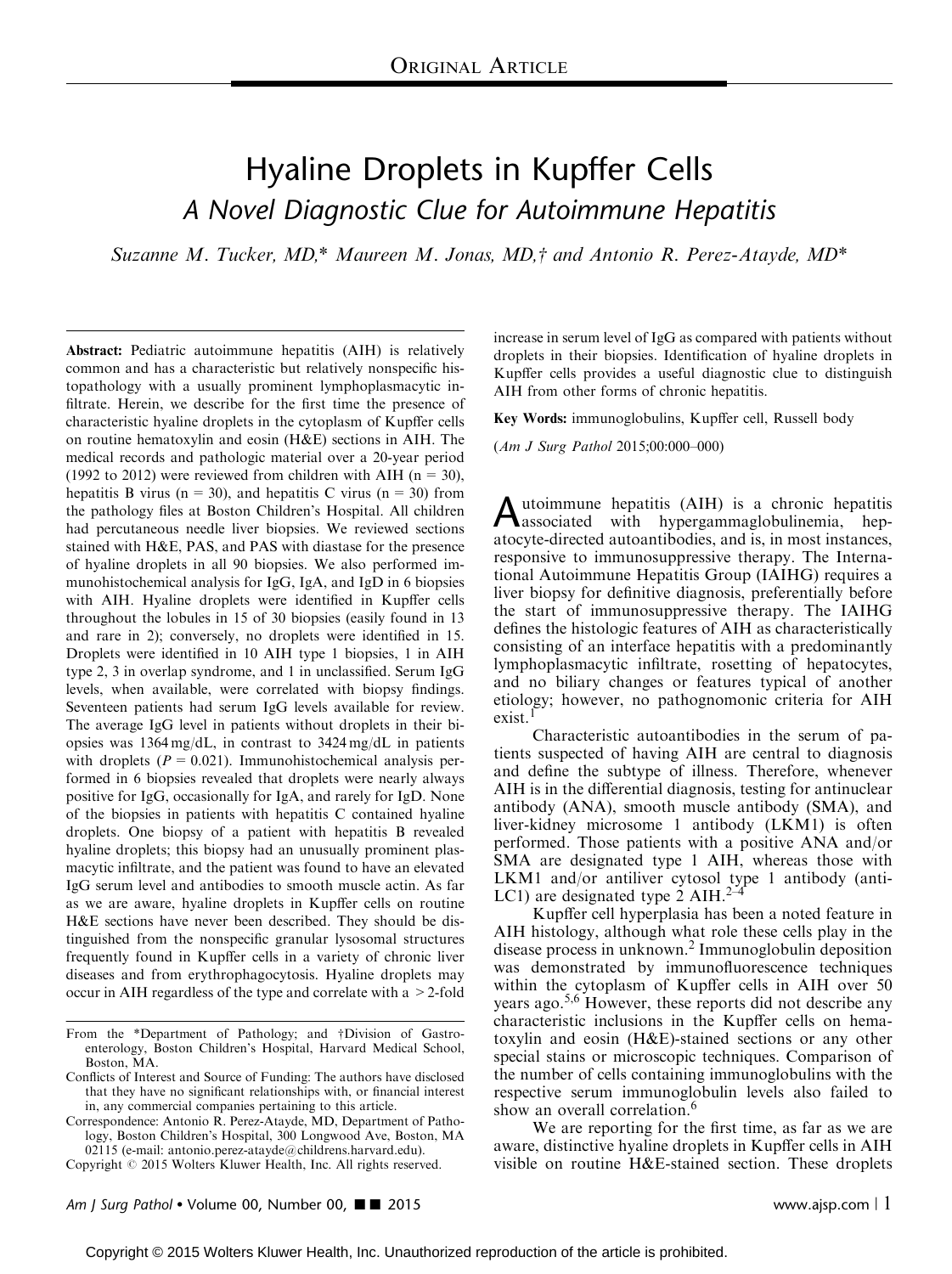# Hyaline Droplets in Kupffer Cells A Novel Diagnostic Clue for Autoimmune Hepatitis

Suzanne M. Tucker, MD,\* Maureen M. Jonas, MD, $\dagger$  and Antonio R. Perez-Atayde, MD\*

Abstract: Pediatric autoimmune hepatitis (AIH) is relatively common and has a characteristic but relatively nonspecific histopathology with a usually prominent lymphoplasmacytic infiltrate. Herein, we describe for the first time the presence of characteristic hyaline droplets in the cytoplasm of Kupffer cells on routine hematoxylin and eosin (H&E) sections in AIH. The medical records and pathologic material over a 20-year period (1992 to 2012) were reviewed from children with AIH ( $n = 30$ ), hepatitis B virus ( $n = 30$ ), and hepatitis C virus ( $n = 30$ ) from the pathology files at Boston Children's Hospital. All children had percutaneous needle liver biopsies. We reviewed sections stained with H&E, PAS, and PAS with diastase for the presence of hyaline droplets in all 90 biopsies. We also performed immunohistochemical analysis for IgG, IgA, and IgD in 6 biopsies with AIH. Hyaline droplets were identified in Kupffer cells throughout the lobules in 15 of 30 biopsies (easily found in 13 and rare in 2); conversely, no droplets were identified in 15. Droplets were identified in 10 AIH type 1 biopsies, 1 in AIH type 2, 3 in overlap syndrome, and 1 in unclassified. Serum IgG levels, when available, were correlated with biopsy findings. Seventeen patients had serum IgG levels available for review. The average IgG level in patients without droplets in their biopsies was 1364 mg/dL, in contrast to 3424 mg/dL in patients with droplets ( $P = 0.021$ ). Immunohistochemical analysis performed in 6 biopsies revealed that droplets were nearly always positive for IgG, occasionally for IgA, and rarely for IgD. None of the biopsies in patients with hepatitis C contained hyaline droplets. One biopsy of a patient with hepatitis B revealed hyaline droplets; this biopsy had an unusually prominent plasmacytic infiltrate, and the patient was found to have an elevated IgG serum level and antibodies to smooth muscle actin. As far as we are aware, hyaline droplets in Kupffer cells on routine H&E sections have never been described. They should be distinguished from the nonspecific granular lysosomal structures frequently found in Kupffer cells in a variety of chronic liver diseases and from erythrophagocytosis. Hyaline droplets may occur in AIH regardless of the type and correlate with a >2-fold

increase in serum level of IgG as compared with patients without droplets in their biopsies. Identification of hyaline droplets in Kupffer cells provides a useful diagnostic clue to distinguish AIH from other forms of chronic hepatitis.

Key Words: immunoglobulins, Kupffer cell, Russell body

(Am J Surg Pathol 2015;00:000–000)

Autoimmune hepatitis (AIH) is a chronic hepatitis<br>associated with hypergammaglobulinemia, hep-<br>atacute directed outcontileding and is in most instances atocyte-directed autoantibodies, and is, in most instances, responsive to immunosuppressive therapy. The International Autoimmune Hepatitis Group (IAIHG) requires a liver biopsy for definitive diagnosis, preferentially before the start of immunosuppressive therapy. The IAIHG defines the histologic features of AIH as characteristically consisting of an interface hepatitis with a predominantly lymphoplasmacytic infiltrate, rosetting of hepatocytes, and no biliary changes or features typical of another etiology; however, no pathognomonic criteria for AIH exist.<sup>[1](#page-6-0)</sup>

Characteristic autoantibodies in the serum of patients suspected of having AIH are central to diagnosis and define the subtype of illness. Therefore, whenever AIH is in the differential diagnosis, testing for antinuclear antibody (ANA), smooth muscle antibody (SMA), and liver-kidney microsome 1 antibody (LKM1) is often performed. Those patients with a positive ANA and/or SMA are designated type 1 AIH, whereas those with LKM1 and/or antiliver cytosol type 1 antibody (anti-LC1) are designated type 2 AIH. $2<sup>2-4</sup>$ 

Kupffer cell hyperplasia has been a noted feature in AIH histology, although what role these cells play in the disease process in unknown.<sup>[2](#page-6-0)</sup> Immunoglobulin deposition was demonstrated by immunofluorescence techniques within the cytoplasm of Kupffer cells in AIH over 50 years ago.<sup>[5,6](#page-6-0)</sup> However, these reports did not describe any characteristic inclusions in the Kupffer cells on hematoxylin and eosin (H&E)-stained sections or any other special stains or microscopic techniques. Comparison of the number of cells containing immunoglobulins with the respective serum immunoglobulin levels also failed to show an overall correlation.<sup>[6](#page-6-0)</sup>

We are reporting for the first time, as far as we are aware, distinctive hyaline droplets in Kupffer cells in AIH visible on routine H&E-stained section. These droplets

From the \*Department of Pathology; and †Division of Gastroenterology, Boston Children's Hospital, Harvard Medical School, Boston, MA.

Conflicts of Interest and Source of Funding: The authors have disclosed that they have no significant relationships with, or financial interest in, any commercial companies pertaining to this article.

Correspondence: Antonio R. Perez-Atayde, MD, Department of Pathology, Boston Children's Hospital, 300 Longwood Ave, Boston, MA 02115 (e-mail: [antonio.perez-atayde@childrens.harvard.edu\)](mailto:antonio.perez-atayde@childrens.harvard.edu).

Copyright © 2015 Wolters Kluwer Health, Inc. All rights reserved.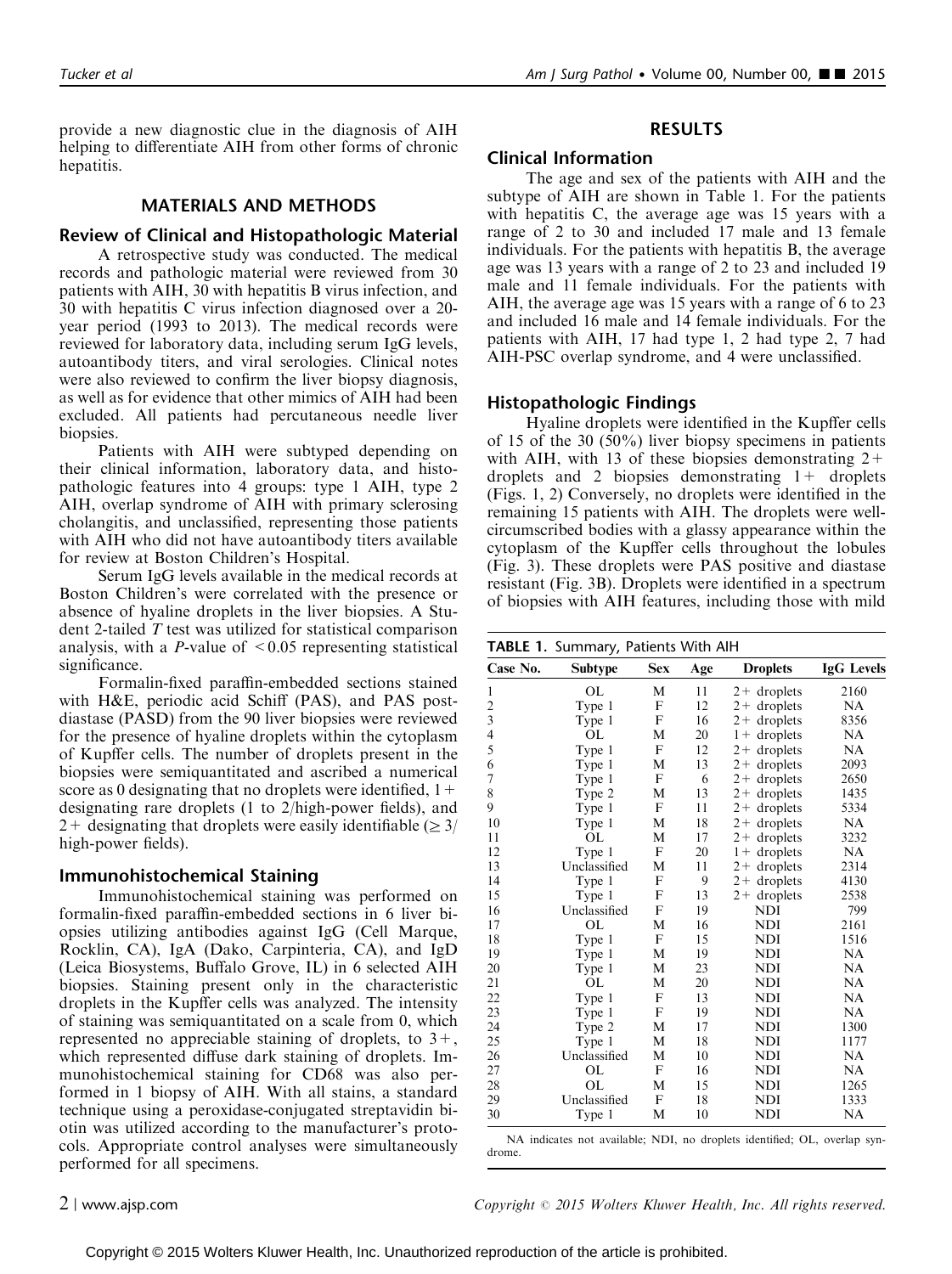<span id="page-1-0"></span>provide a new diagnostic clue in the diagnosis of AIH helping to differentiate AIH from other forms of chronic hepatitis.

# MATERIALS AND METHODS

# Review of Clinical and Histopathologic Material

A retrospective study was conducted. The medical records and pathologic material were reviewed from 30 patients with AIH, 30 with hepatitis B virus infection, and 30 with hepatitis C virus infection diagnosed over a 20 year period (1993 to 2013). The medical records were reviewed for laboratory data, including serum IgG levels, autoantibody titers, and viral serologies. Clinical notes were also reviewed to confirm the liver biopsy diagnosis, as well as for evidence that other mimics of AIH had been excluded. All patients had percutaneous needle liver biopsies.

Patients with AIH were subtyped depending on their clinical information, laboratory data, and histopathologic features into 4 groups: type 1 AIH, type 2 AIH, overlap syndrome of AIH with primary sclerosing cholangitis, and unclassified, representing those patients with AIH who did not have autoantibody titers available for review at Boston Children's Hospital.

Serum IgG levels available in the medical records at Boston Children's were correlated with the presence or absence of hyaline droplets in the liver biopsies. A Student 2-tailed T test was utilized for statistical comparison analysis, with a *P*-value of  $\leq 0.05$  representing statistical significance.

Formalin-fixed paraffin-embedded sections stained with H&E, periodic acid Schiff (PAS), and PAS postdiastase (PASD) from the 90 liver biopsies were reviewed for the presence of hyaline droplets within the cytoplasm of Kupffer cells. The number of droplets present in the biopsies were semiquantitated and ascribed a numerical score as 0 designating that no droplets were identified,  $1+$ designating rare droplets (1 to 2/high-power fields), and 2+ designating that droplets were easily identifiable  $(\geq 3/2)$ high-power fields).

# Immunohistochemical Staining

Immunohistochemical staining was performed on formalin-fixed paraffin-embedded sections in 6 liver biopsies utilizing antibodies against IgG (Cell Marque, Rocklin, CA), IgA (Dako, Carpinteria, CA), and IgD (Leica Biosystems, Buffalo Grove, IL) in 6 selected AIH biopsies. Staining present only in the characteristic droplets in the Kupffer cells was analyzed. The intensity of staining was semiquantitated on a scale from 0, which represented no appreciable staining of droplets, to  $3+$ , which represented diffuse dark staining of droplets. Immunohistochemical staining for CD68 was also performed in 1 biopsy of AIH. With all stains, a standard technique using a peroxidase-conjugated streptavidin biotin was utilized according to the manufacturer's protocols. Appropriate control analyses were simultaneously performed for all specimens.

# RESULTS

# Clinical Information

The age and sex of the patients with AIH and the subtype of AIH are shown in Table 1. For the patients with hepatitis C, the average age was 15 years with a range of 2 to 30 and included 17 male and 13 female individuals. For the patients with hepatitis B, the average age was 13 years with a range of 2 to 23 and included 19 male and 11 female individuals. For the patients with AIH, the average age was 15 years with a range of 6 to 23 and included 16 male and 14 female individuals. For the patients with AIH, 17 had type 1, 2 had type 2, 7 had AIH-PSC overlap syndrome, and 4 were unclassified.

# Histopathologic Findings

Hyaline droplets were identified in the Kupffer cells of 15 of the 30 (50%) liver biopsy specimens in patients with AIH, with 13 of these biopsies demonstrating  $2+$ droplets and 2 biopsies demonstrating 1+ droplets ([Figs. 1, 2\)](#page-2-0) Conversely, no droplets were identified in the remaining 15 patients with AIH. The droplets were wellcircumscribed bodies with a glassy appearance within the cytoplasm of the Kupffer cells throughout the lobules ([Fig. 3\)](#page-4-0). These droplets were PAS positive and diastase resistant [\(Fig. 3B\)](#page-4-0). Droplets were identified in a spectrum of biopsies with AIH features, including those with mild

| TABLE 1. Summary, Patients With AlH |                |              |     |                 |                   |  |
|-------------------------------------|----------------|--------------|-----|-----------------|-------------------|--|
| Case No.                            | <b>Subtype</b> | <b>Sex</b>   | Age | <b>Droplets</b> | <b>IgG</b> Levels |  |
| 1                                   | OL             | М            | 11  | $2+$ droplets   | 2160              |  |
| $\overline{\mathbf{c}}$             | Type 1         | F            | 12  | $2+$ droplets   | NA                |  |
| 3                                   | Type 1         | F            | 16  | $2+$ droplets   | 8356              |  |
| 4                                   | OL             | M            | 20  | $1+$ droplets   | NA                |  |
| 5                                   | Type 1         | F            | 12  | $2+$ droplets   | NA                |  |
| 6                                   | Type 1         | M            | 13  | $2+$ droplets   | 2093              |  |
| 7                                   | Type 1         | F            | 6   | $2+$ droplets   | 2650              |  |
| 8                                   | Type 2         | M            | 13  | $2+$ droplets   | 1435              |  |
| 9                                   | Type 1         | F            | 11  | $2+$ droplets   | 5334              |  |
| 10                                  | Type 1         | М            | 18  | $2+$ droplets   | NA                |  |
| 11                                  | OL             | M            | 17  | $2+$ droplets   | 3232              |  |
| 12                                  | Type 1         | $\mathbf{F}$ | 20  | $1+$ droplets   | NA                |  |
| 13                                  | Unclassified   | M            | 11  | $2+$ droplets   | 2314              |  |
| 14                                  | Type 1         | $\mathbf{F}$ | 9   | $2+$ droplets   | 4130              |  |
| 15                                  | Type 1         | F            | 13  | $2+$ droplets   | 2538              |  |
| 16                                  | Unclassified   | F            | 19  | <b>NDI</b>      | 799               |  |
| 17                                  | OL             | M            | 16  | <b>NDI</b>      | 2161              |  |
| 18                                  | Type 1         | $\mathbf{F}$ | 15  | <b>NDI</b>      | 1516              |  |
| 19                                  | Type 1         | M            | 19  | <b>NDI</b>      | NA                |  |
| 20                                  | Type 1         | М            | 23  | <b>NDI</b>      | NA                |  |
| 21                                  | OL             | M            | 20  | <b>NDI</b>      | NA                |  |
| 22                                  | Type 1         | $\mathbf{F}$ | 13  | <b>NDI</b>      | NA                |  |
| 23                                  | Type 1         | F            | 19  | <b>NDI</b>      | NA                |  |
| 24                                  | Type 2         | М            | 17  | <b>NDI</b>      | 1300              |  |
| 25                                  | Type 1         | M            | 18  | <b>NDI</b>      | 1177              |  |
| 26                                  | Unclassified   | M            | 10  | <b>NDI</b>      | <b>NA</b>         |  |
| 27                                  | OL             | F            | 16  | <b>NDI</b>      | NA                |  |
| 28                                  | OL             | M            | 15  | <b>NDI</b>      | 1265              |  |
| 29                                  | Unclassified   | F            | 18  | <b>NDI</b>      | 1333              |  |
| 30                                  | Type 1         | M            | 10  | <b>NDI</b>      | NA                |  |

NA indicates not available; NDI, no droplets identified; OL, overlap syndrome.

2 <sup>|</sup> www.ajsp.com Copyright <sup>r</sup> 2015 Wolters Kluwer Health, Inc. All rights reserved.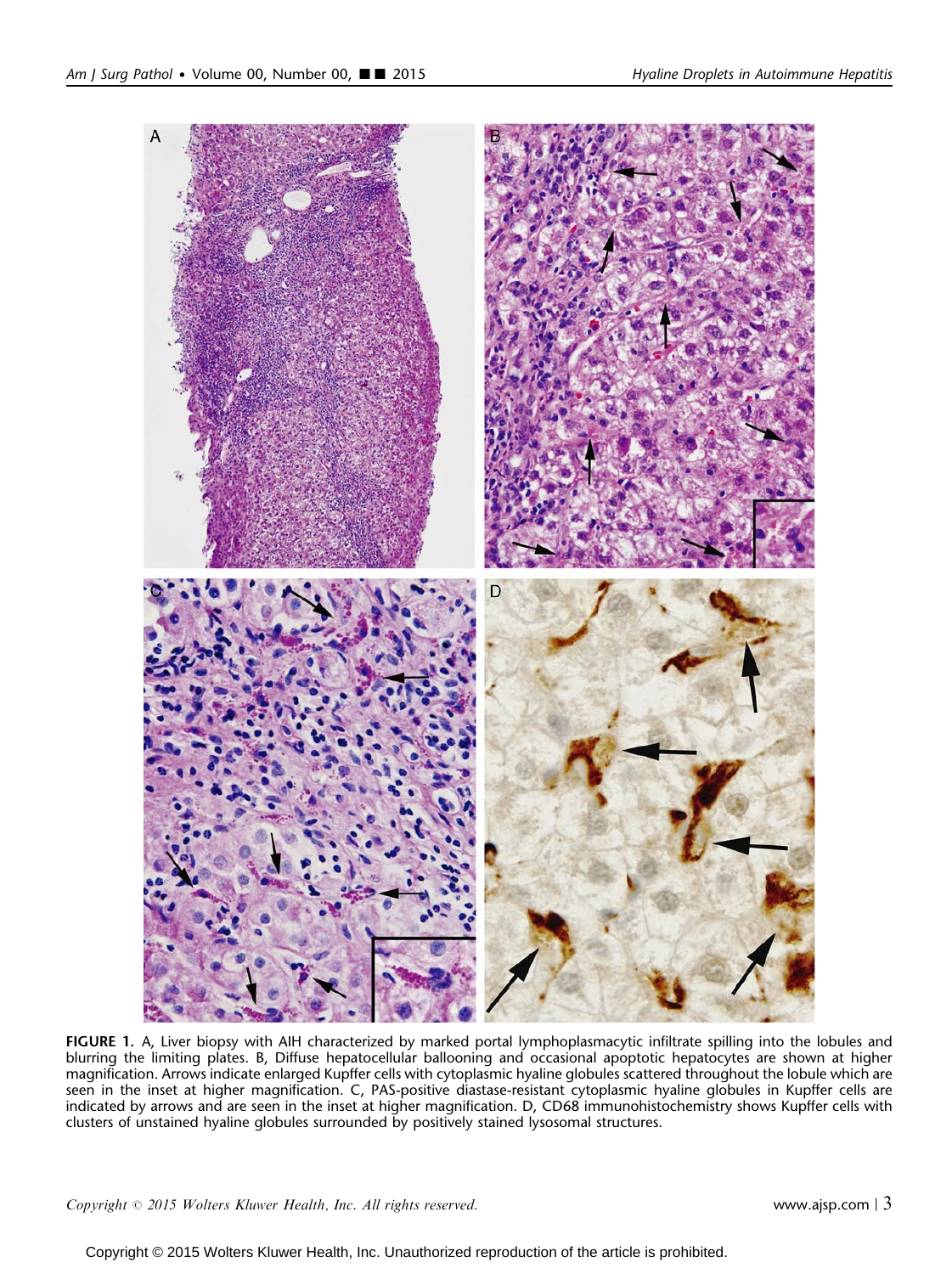<span id="page-2-0"></span>

FIGURE 1. A, Liver biopsy with AIH characterized by marked portal lymphoplasmacytic infiltrate spilling into the lobules and blurring the limiting plates. B, Diffuse hepatocellular ballooning and occasional apoptotic hepatocytes are shown at higher magnification. Arrows indicate enlarged Kupffer cells with cytoplasmic hyaline globules scattered throughout the lobule which are seen in the inset at higher magnification. C, PAS-positive diastase-resistant cytoplasmic hyaline globules in Kupffer cells are indicated by arrows and are seen in the inset at higher magnification. D, CD68 immunohistochemistry shows Kupffer cells with clusters of unstained hyaline globules surrounded by positively stained lysosomal structures.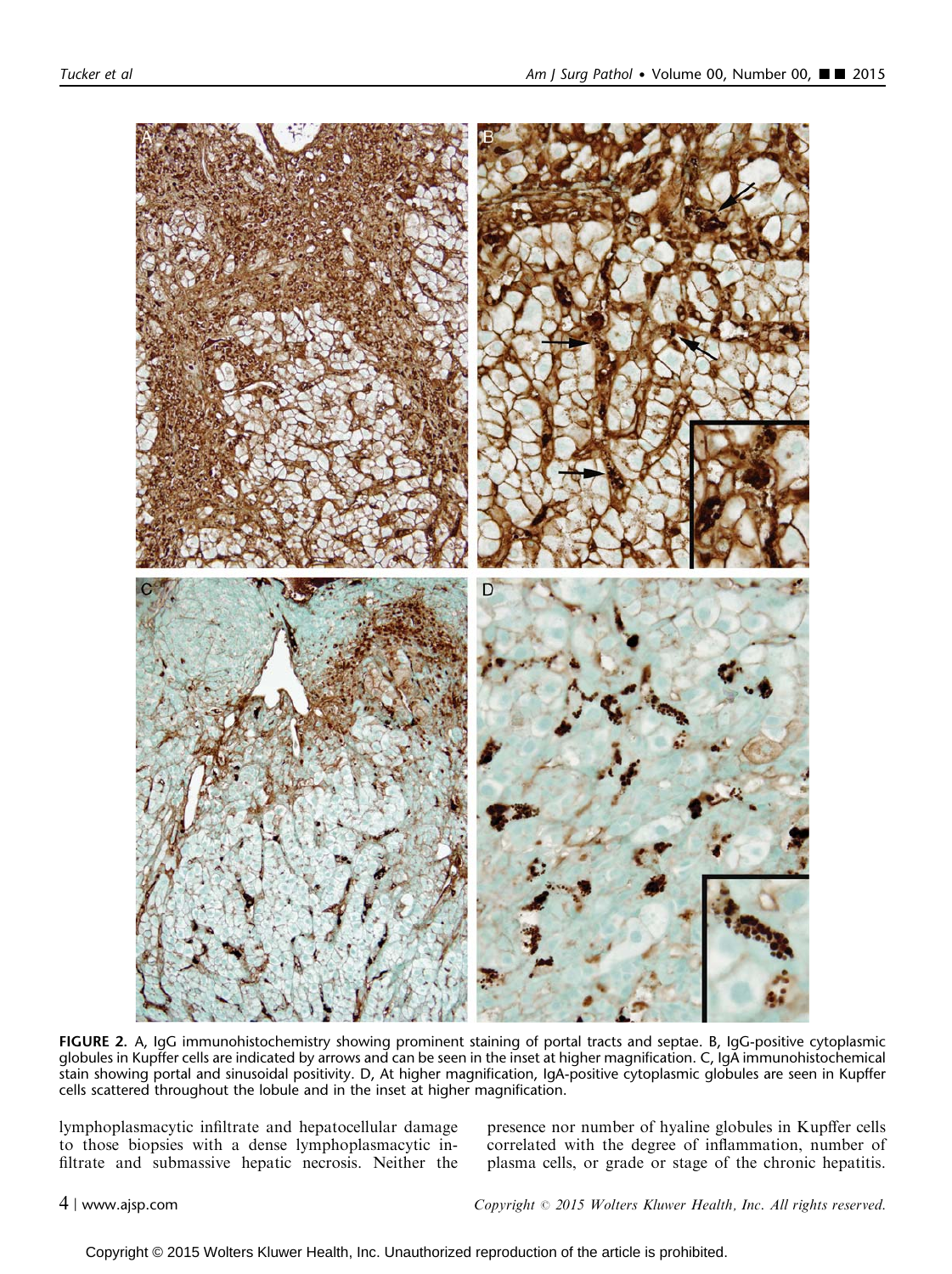<span id="page-3-0"></span>

FIGURE 2. A, IgG immunohistochemistry showing prominent staining of portal tracts and septae. B, IgG-positive cytoplasmic globules in Kupffer cells are indicated by arrows and can be seen in the inset at higher magnification. C, IgA immunohistochemical stain showing portal and sinusoidal positivity. D, At higher magnification, IgA-positive cytoplasmic globules are seen in Kupffer cells scattered throughout the lobule and in the inset at higher magnification.

lymphoplasmacytic infiltrate and hepatocellular damage to those biopsies with a dense lymphoplasmacytic infiltrate and submassive hepatic necrosis. Neither the presence nor number of hyaline globules in Kupffer cells correlated with the degree of inflammation, number of plasma cells, or grade or stage of the chronic hepatitis.

4 <sup>|</sup> www.ajsp.com Copyright <sup>r</sup> 2015 Wolters Kluwer Health, Inc. All rights reserved.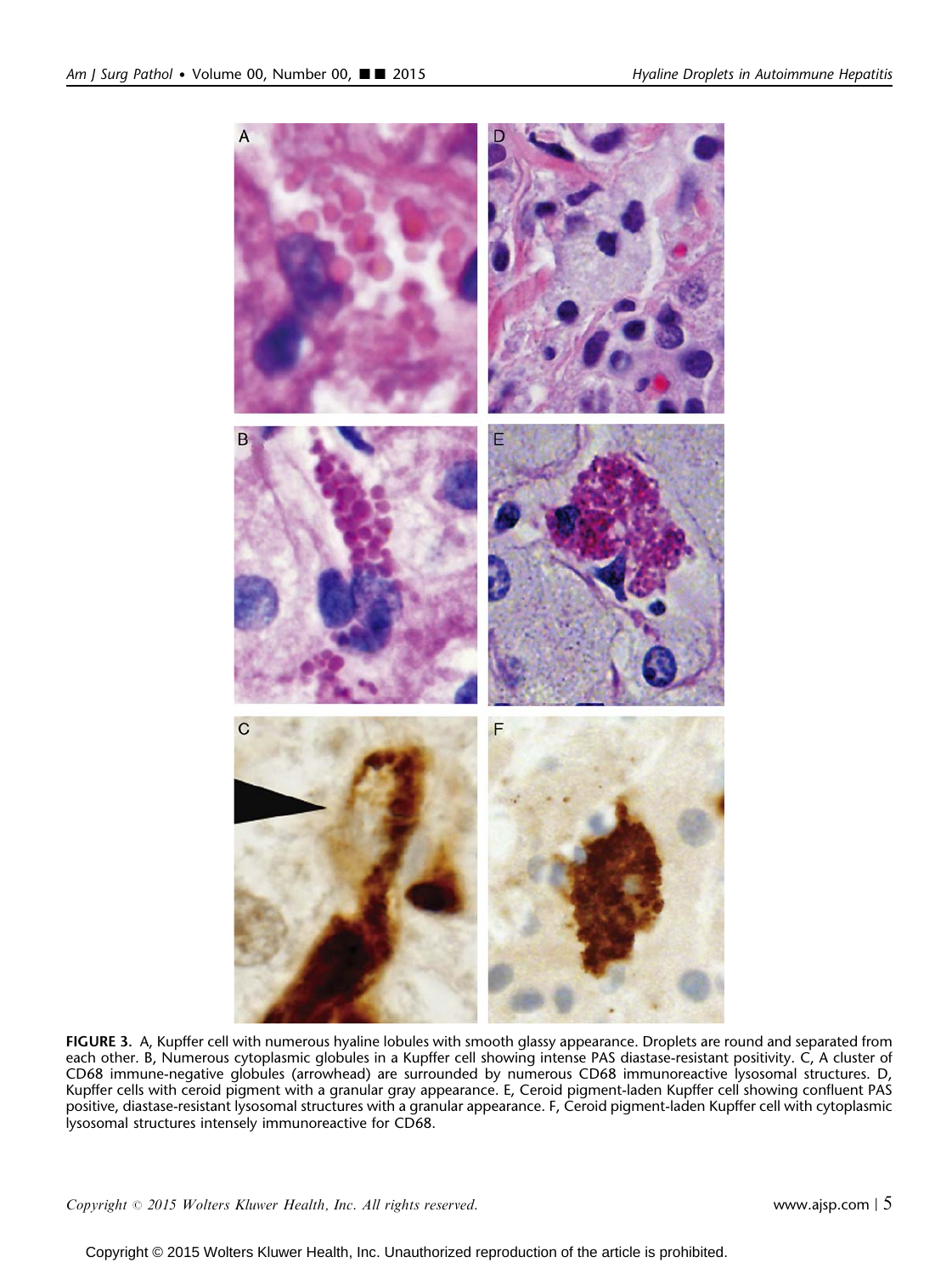<span id="page-4-0"></span>

FIGURE 3. A, Kupffer cell with numerous hyaline lobules with smooth glassy appearance. Droplets are round and separated from each other. B, Numerous cytoplasmic globules in a Kupffer cell showing intense PAS diastase-resistant positivity. C, A cluster of CD68 immune-negative globules (arrowhead) are surrounded by numerous CD68 immunoreactive lysosomal structures. D, Kupffer cells with ceroid pigment with a granular gray appearance. E, Ceroid pigment-laden Kupffer cell showing confluent PAS positive, diastase-resistant lysosomal structures with a granular appearance. F, Ceroid pigment-laden Kupffer cell with cytoplasmic lysosomal structures intensely immunoreactive for CD68.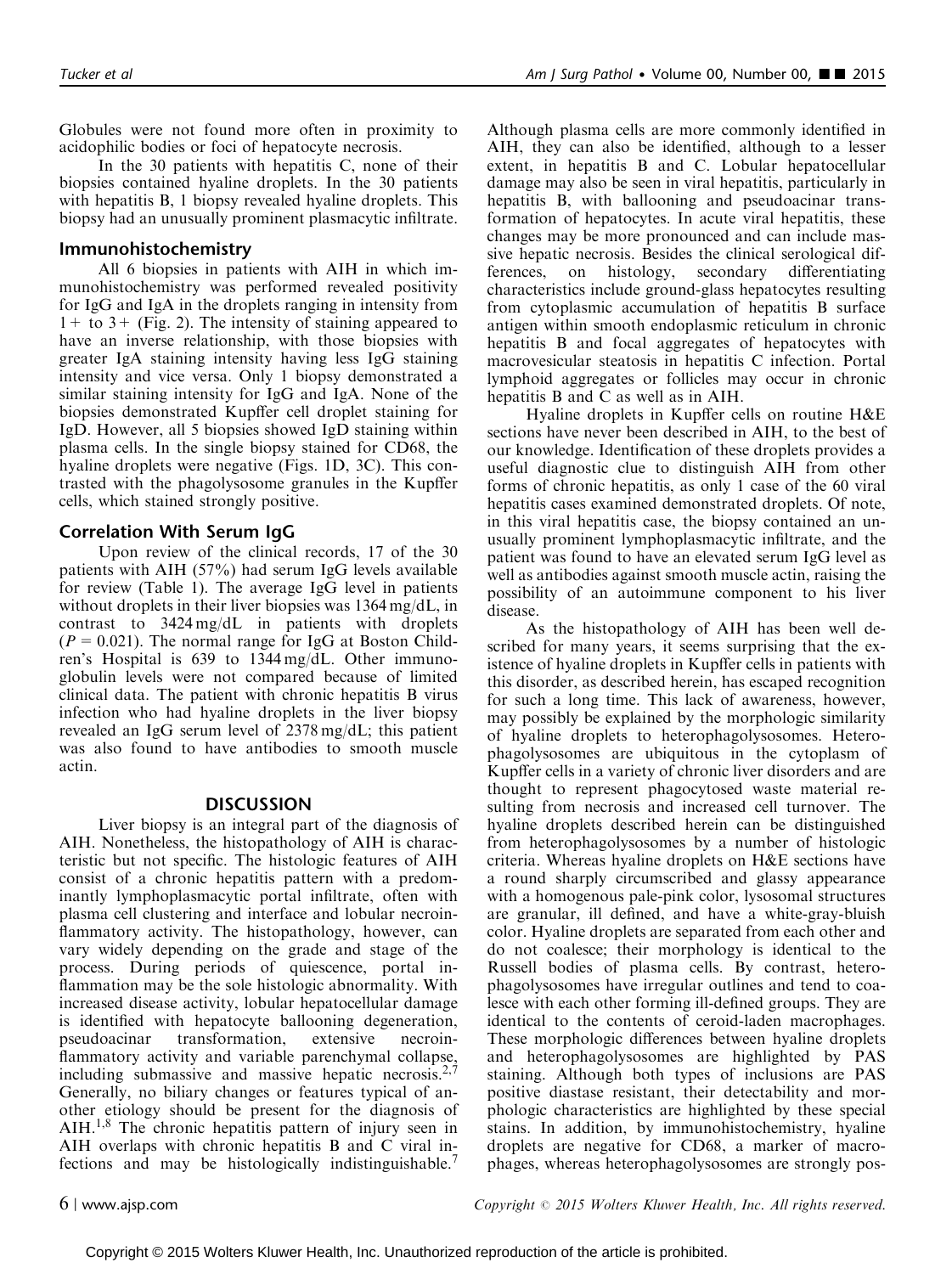Globules were not found more often in proximity to acidophilic bodies or foci of hepatocyte necrosis.

In the 30 patients with hepatitis C, none of their biopsies contained hyaline droplets. In the 30 patients with hepatitis B, 1 biopsy revealed hyaline droplets. This biopsy had an unusually prominent plasmacytic infiltrate.

# Immunohistochemistry

All 6 biopsies in patients with AIH in which immunohistochemistry was performed revealed positivity for IgG and IgA in the droplets ranging in intensity from  $1+$  to  $3+$  [\(Fig. 2](#page-3-0)). The intensity of staining appeared to have an inverse relationship, with those biopsies with greater IgA staining intensity having less IgG staining intensity and vice versa. Only 1 biopsy demonstrated a similar staining intensity for IgG and IgA. None of the biopsies demonstrated Kupffer cell droplet staining for IgD. However, all 5 biopsies showed IgD staining within plasma cells. In the single biopsy stained for CD68, the hyaline droplets were negative ([Figs. 1D, 3C\)](#page-2-0). This contrasted with the phagolysosome granules in the Kupffer cells, which stained strongly positive.

# Correlation With Serum IgG

Upon review of the clinical records, 17 of the 30 patients with AIH (57%) had serum IgG levels available for review ([Table 1](#page-1-0)). The average IgG level in patients without droplets in their liver biopsies was 1364 mg/dL, in contrast to 3424 mg/dL in patients with droplets  $(P = 0.021)$ . The normal range for IgG at Boston Children's Hospital is 639 to 1344 mg/dL. Other immunoglobulin levels were not compared because of limited clinical data. The patient with chronic hepatitis B virus infection who had hyaline droplets in the liver biopsy revealed an IgG serum level of 2378 mg/dL; this patient was also found to have antibodies to smooth muscle actin.

#### DISCUSSION

Liver biopsy is an integral part of the diagnosis of AIH. Nonetheless, the histopathology of AIH is characteristic but not specific. The histologic features of AIH consist of a chronic hepatitis pattern with a predominantly lymphoplasmacytic portal infiltrate, often with plasma cell clustering and interface and lobular necroinflammatory activity. The histopathology, however, can vary widely depending on the grade and stage of the process. During periods of quiescence, portal inflammation may be the sole histologic abnormality. With increased disease activity, lobular hepatocellular damage is identified with hepatocyte ballooning degeneration, pseudoacinar transformation, extensive necroinflammatory activity and variable parenchymal collapse, including submassive and massive hepatic necrosis.<sup>[2,7](#page-6-0)</sup> Generally, no biliary changes or features typical of another etiology should be present for the diagnosis of AIH.[1,8](#page-6-0) The chronic hepatitis pattern of injury seen in AIH overlaps with chronic hepatitis B and C viral in-fections and may be histologically indistinguishable.<sup>[7](#page-6-0)</sup>

Although plasma cells are more commonly identified in AIH, they can also be identified, although to a lesser extent, in hepatitis B and C. Lobular hepatocellular damage may also be seen in viral hepatitis, particularly in hepatitis B, with ballooning and pseudoacinar transformation of hepatocytes. In acute viral hepatitis, these changes may be more pronounced and can include massive hepatic necrosis. Besides the clinical serological differences, on histology, secondary differentiating characteristics include ground-glass hepatocytes resulting from cytoplasmic accumulation of hepatitis B surface antigen within smooth endoplasmic reticulum in chronic hepatitis B and focal aggregates of hepatocytes with macrovesicular steatosis in hepatitis C infection. Portal lymphoid aggregates or follicles may occur in chronic hepatitis B and C as well as in AIH.

Hyaline droplets in Kupffer cells on routine H&E sections have never been described in AIH, to the best of our knowledge. Identification of these droplets provides a useful diagnostic clue to distinguish AIH from other forms of chronic hepatitis, as only 1 case of the 60 viral hepatitis cases examined demonstrated droplets. Of note, in this viral hepatitis case, the biopsy contained an unusually prominent lymphoplasmacytic infiltrate, and the patient was found to have an elevated serum IgG level as well as antibodies against smooth muscle actin, raising the possibility of an autoimmune component to his liver disease.

As the histopathology of AIH has been well described for many years, it seems surprising that the existence of hyaline droplets in Kupffer cells in patients with this disorder, as described herein, has escaped recognition for such a long time. This lack of awareness, however, may possibly be explained by the morphologic similarity of hyaline droplets to heterophagolysosomes. Heterophagolysosomes are ubiquitous in the cytoplasm of Kupffer cells in a variety of chronic liver disorders and are thought to represent phagocytosed waste material resulting from necrosis and increased cell turnover. The hyaline droplets described herein can be distinguished from heterophagolysosomes by a number of histologic criteria. Whereas hyaline droplets on H&E sections have a round sharply circumscribed and glassy appearance with a homogenous pale-pink color, lysosomal structures are granular, ill defined, and have a white-gray-bluish color. Hyaline droplets are separated from each other and do not coalesce; their morphology is identical to the Russell bodies of plasma cells. By contrast, heterophagolysosomes have irregular outlines and tend to coalesce with each other forming ill-defined groups. They are identical to the contents of ceroid-laden macrophages. These morphologic differences between hyaline droplets and heterophagolysosomes are highlighted by PAS staining. Although both types of inclusions are PAS positive diastase resistant, their detectability and morphologic characteristics are highlighted by these special stains. In addition, by immunohistochemistry, hyaline droplets are negative for CD68, a marker of macrophages, whereas heterophagolysosomes are strongly pos-

6 <sup>|</sup> www.ajsp.com Copyright <sup>r</sup> 2015 Wolters Kluwer Health, Inc. All rights reserved.